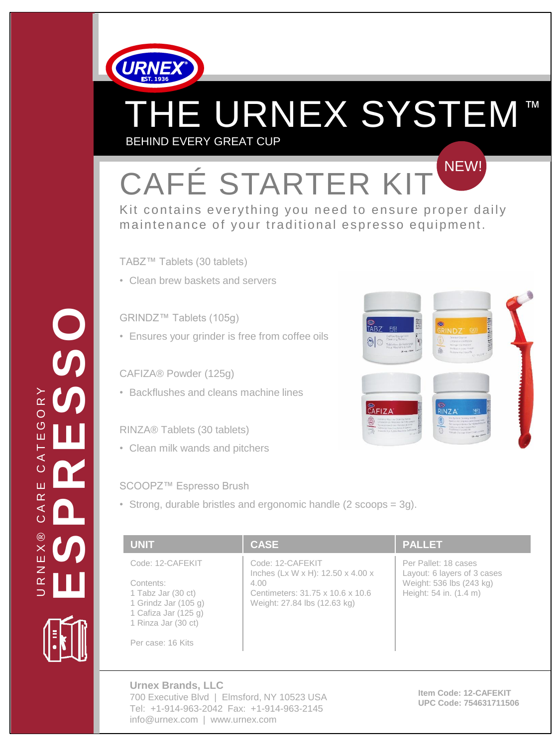

# THE URNEX SYSTEM™ BEHIND EVERY GREAT CUP

 $\circ$ 

## CAFÉ STARTER KIT NEW!

Kit contains everything you need to ensure proper daily maintenance of your traditional espresso equipment.

TABZ™ Tablets (30 tablets)

• Clean brew baskets and servers

#### GRINDZ™ Tablets (105g)

• Ensures your grinder is free from coffee oils

#### CAFIZA® Powder (125g)

• Backflushes and cleans machine lines

#### RINZA® Tablets (30 tablets)

• Clean milk wands and pitchers

#### SCOOPZ™ Espresso Brush

• Strong, durable bristles and ergonomic handle (2 scoops = 3g).

| <b>UNIT</b>                                                                                                                                       | <b>CASE</b>                                                                                                                                   | <b>PALLET</b>                                                                                             |
|---------------------------------------------------------------------------------------------------------------------------------------------------|-----------------------------------------------------------------------------------------------------------------------------------------------|-----------------------------------------------------------------------------------------------------------|
| Code: 12-CAFEKIT<br>Contents:<br>1 Tabz Jar (30 ct)<br>1 Grindz Jar $(105 g)$<br>1 Cafiza Jar (125 g)<br>1 Rinza Jar (30 ct)<br>Per case: 16 Kits | Code: 12-CAFEKIT<br>Inches (Lx W x H): $12.50 \times 4.00 \times$<br>4.00<br>Centimeters: 31.75 x 10.6 x 10.6<br>Weight: 27.84 lbs (12.63 kg) | Per Pallet: 18 cases<br>Layout: 6 layers of 3 cases<br>Weight: 536 lbs (243 kg)<br>Height: 54 in. (1.4 m) |

**Urnex Brands, LLC** 700 Executive Blvd | Elmsford, NY 10523 USA Tel: +1-914-963-2042 Fax: +1-914-963-2145 info@urnex.com | www.urnex.com

**Item Code: 12-CAFEKIT UPC Code: 754631711506**